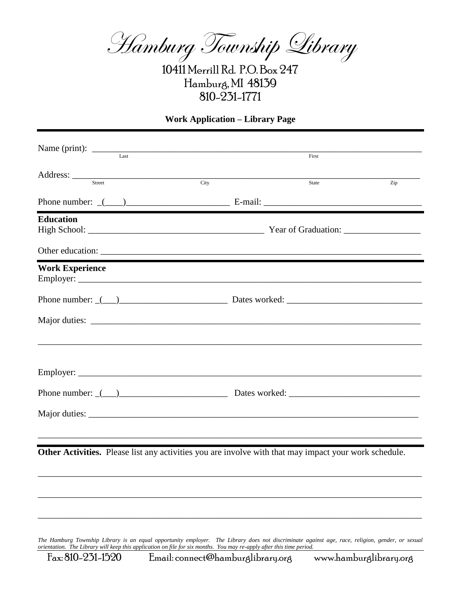Hamburg Township Library

10411 Merrill Rd. P.O. Box 247 Hamburg, MI 48139 810-231-1771

## **Work Application – Library Page**

| First<br>State<br>Phone number: $($ ( $)$ $)$ $\qquad$ $\qquad$ $\qquad$ $\qquad$ $\qquad$ $\qquad$ $\qquad$ $\qquad$ $\qquad$ $\qquad$ $\qquad$ $\qquad$ $\qquad$ $\qquad$ $\qquad$ $\qquad$ $\qquad$ $\qquad$ $\qquad$ $\qquad$ $\qquad$ $\qquad$ $\qquad$ $\qquad$ $\qquad$ $\qquad$ $\qquad$ $\qquad$ $\qquad$ $\qquad$ $\qquad$ $\qquad$ $\$ | Zip                                                                                                                                                                                                                                                                  |
|---------------------------------------------------------------------------------------------------------------------------------------------------------------------------------------------------------------------------------------------------------------------------------------------------------------------------------------------------|----------------------------------------------------------------------------------------------------------------------------------------------------------------------------------------------------------------------------------------------------------------------|
|                                                                                                                                                                                                                                                                                                                                                   |                                                                                                                                                                                                                                                                      |
|                                                                                                                                                                                                                                                                                                                                                   |                                                                                                                                                                                                                                                                      |
|                                                                                                                                                                                                                                                                                                                                                   |                                                                                                                                                                                                                                                                      |
|                                                                                                                                                                                                                                                                                                                                                   |                                                                                                                                                                                                                                                                      |
|                                                                                                                                                                                                                                                                                                                                                   |                                                                                                                                                                                                                                                                      |
|                                                                                                                                                                                                                                                                                                                                                   |                                                                                                                                                                                                                                                                      |
| Phone number: $($ $)$ Dates worked:    Dates worked: $\frac{1}{2}$                                                                                                                                                                                                                                                                                |                                                                                                                                                                                                                                                                      |
|                                                                                                                                                                                                                                                                                                                                                   |                                                                                                                                                                                                                                                                      |
|                                                                                                                                                                                                                                                                                                                                                   |                                                                                                                                                                                                                                                                      |
|                                                                                                                                                                                                                                                                                                                                                   |                                                                                                                                                                                                                                                                      |
|                                                                                                                                                                                                                                                                                                                                                   |                                                                                                                                                                                                                                                                      |
|                                                                                                                                                                                                                                                                                                                                                   |                                                                                                                                                                                                                                                                      |
|                                                                                                                                                                                                                                                                                                                                                   | Phone number: $($ $)$ Dates worked:    Dates worked:     Dates worked:<br>,我们也不能在这里的时候,我们也不能在这里的时候,我们也不能在这里的时候,我们也不能会在这里的时候,我们也不能会在这里的时候,我们也不能会在这里的时候,我们也不能<br>Other Activities. Please list any activities you are involve with that may impact your work schedule. |

\_\_\_\_\_\_\_\_\_\_\_\_\_\_\_\_\_\_\_\_\_\_\_\_\_\_\_\_\_\_\_\_\_\_\_\_\_\_\_\_\_\_\_\_\_\_\_\_\_\_\_\_\_\_\_\_\_\_\_\_\_\_\_\_\_\_\_\_\_\_\_\_\_\_\_\_\_\_\_\_\_\_\_\_\_

\_\_\_\_\_\_\_\_\_\_\_\_\_\_\_\_\_\_\_\_\_\_\_\_\_\_\_\_\_\_\_\_\_\_\_\_\_\_\_\_\_\_\_\_\_\_\_\_\_\_\_\_\_\_\_\_\_\_\_\_\_\_\_\_\_\_\_\_\_\_\_\_\_\_\_\_\_\_\_\_\_\_\_\_\_

*The Hamburg Township Library is an equal opportunity employer. The Library does not discriminate against age, race, religion, gender, or sexual orientation. The Library will keep this application on file for six months. You may re-apply after this time period.*